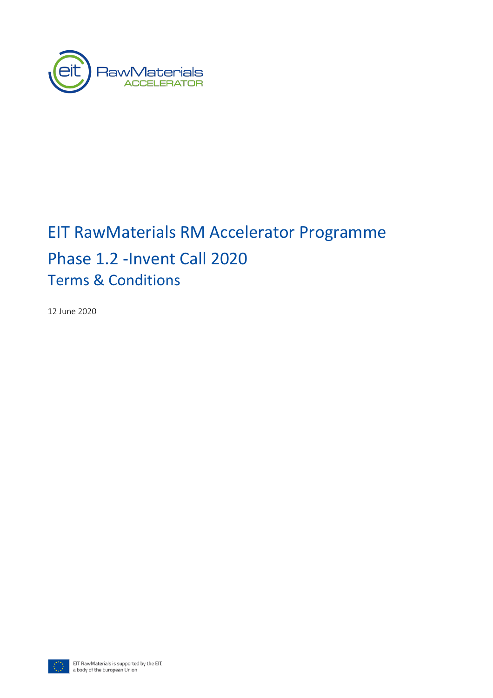

# EIT RawMaterials RM Accelerator Programme Phase 1.2 -Invent Call 2020 Terms & Conditions

12 June 2020

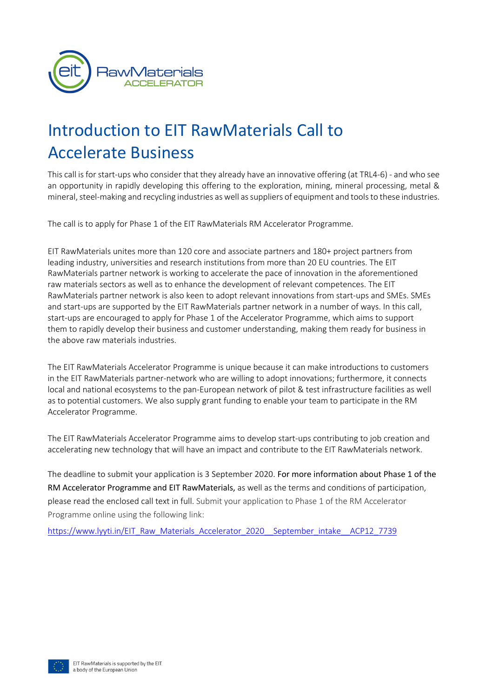

# Introduction to EIT RawMaterials Call to Accelerate Business

This call is for start-ups who consider that they already have an innovative offering (at TRL4-6) - and who see an opportunity in rapidly developing this offering to the exploration, mining, mineral processing, metal & mineral, steel-making and recycling industries as well as suppliers of equipment and tools to these industries.

The call is to apply for Phase 1 of the EIT RawMaterials RM Accelerator Programme.

EIT RawMaterials unites more than 120 core and associate partners and 180+ project partners from leading industry, universities and research institutions from more than 20 EU countries. The EIT RawMaterials partner network is working to accelerate the pace of innovation in the aforementioned raw materials sectors as well as to enhance the development of relevant competences. The EIT RawMaterials partner network is also keen to adopt relevant innovations from start-ups and SMEs. SMEs and start-ups are supported by the EIT RawMaterials partner network in a number of ways. In this call, start-ups are encouraged to apply for Phase 1 of the Accelerator Programme, which aims to support them to rapidly develop their business and customer understanding, making them ready for business in the above raw materials industries.

The EIT RawMaterials Accelerator Programme is unique because it can make introductions to customers in the EIT RawMaterials partner-network who are willing to adopt innovations; furthermore, it connects local and national ecosystems to the pan-European network of pilot & test infrastructure facilities as well as to potential customers. We also supply grant funding to enable your team to participate in the RM Accelerator Programme.

The EIT RawMaterials Accelerator Programme aims to develop start-ups contributing to job creation and accelerating new technology that will have an impact and contribute to the EIT RawMaterials network.

The deadline to submit your application is 3 September 2020. For more information about Phase 1 of the RM Accelerator Programme and EIT RawMaterials, as well as the terms and conditions of participation, please read the enclosed call text in full. Submit your application to Phase 1 of the RM Accelerator Programme online using the following link:

https://www.lyyti.in/EIT\_Raw\_Materials\_Accelerator\_2020\_\_September\_intake\_\_ACP12\_7739

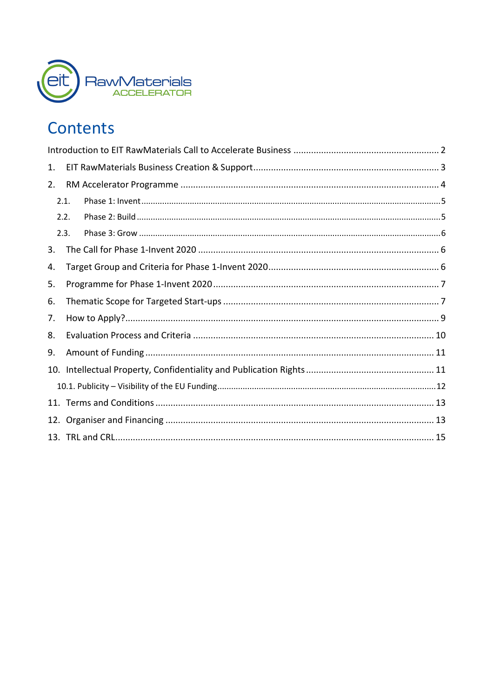

## Contents

| 1.  |      |  |  |  |  |  |
|-----|------|--|--|--|--|--|
| 2.  |      |  |  |  |  |  |
|     | 2.1. |  |  |  |  |  |
|     | 2.2. |  |  |  |  |  |
|     | 2.3. |  |  |  |  |  |
| 3.  |      |  |  |  |  |  |
| 4.  |      |  |  |  |  |  |
| 5.  |      |  |  |  |  |  |
| 6.  |      |  |  |  |  |  |
| 7.  |      |  |  |  |  |  |
| 8.  |      |  |  |  |  |  |
| 9.  |      |  |  |  |  |  |
| 10. |      |  |  |  |  |  |
|     |      |  |  |  |  |  |
|     |      |  |  |  |  |  |
|     |      |  |  |  |  |  |
|     |      |  |  |  |  |  |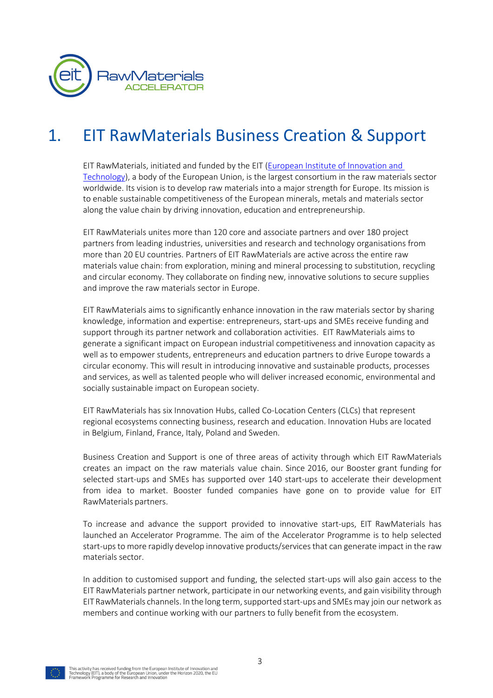

## 1. EIT RawMaterials Business Creation & Support

EIT RawMaterials, initiated and funded by the EIT (European Institute of Innovation and Technology), a body of the European Union, is the largest consortium in the raw materials sector worldwide. Its vision is to develop raw materials into a major strength for Europe. Its mission is to enable sustainable competitiveness of the European minerals, metals and materials sector along the value chain by driving innovation, education and entrepreneurship.

EIT RawMaterials unites more than 120 core and associate partners and over 180 project partners from leading industries, universities and research and technology organisations from more than 20 EU countries. Partners of EIT RawMaterials are active across the entire raw materials value chain: from exploration, mining and mineral processing to substitution, recycling and circular economy. They collaborate on finding new, innovative solutions to secure supplies and improve the raw materials sector in Europe.

EIT RawMaterials aims to significantly enhance innovation in the raw materials sector by sharing knowledge, information and expertise: entrepreneurs, start-ups and SMEs receive funding and support through its partner network and collaboration activities. EIT RawMaterials aims to generate a significant impact on European industrial competitiveness and innovation capacity as well as to empower students, entrepreneurs and education partners to drive Europe towards a circular economy. This will result in introducing innovative and sustainable products, processes and services, as well as talented people who will deliver increased economic, environmental and socially sustainable impact on European society.

EIT RawMaterials has six Innovation Hubs, called Co-Location Centers (CLCs) that represent regional ecosystems connecting business, research and education. Innovation Hubs are located in Belgium, Finland, France, Italy, Poland and Sweden.

Business Creation and Support is one of three areas of activity through which EIT RawMaterials creates an impact on the raw materials value chain. Since 2016, our Booster grant funding for selected start-ups and SMEs has supported over 140 start-ups to accelerate their development from idea to market. Booster funded companies have gone on to provide value for EIT RawMaterials partners.

To increase and advance the support provided to innovative start-ups, EIT RawMaterials has launched an Accelerator Programme. The aim of the Accelerator Programme is to help selected start-ups to more rapidly develop innovative products/services that can generate impact in the raw materials sector.

In addition to customised support and funding, the selected start-ups will also gain access to the EIT RawMaterials partner network, participate in our networking events, and gain visibility through EIT RawMaterials channels. In the long term, supported start-ups and SMEs may join our network as members and continue working with our partners to fully benefit from the ecosystem.

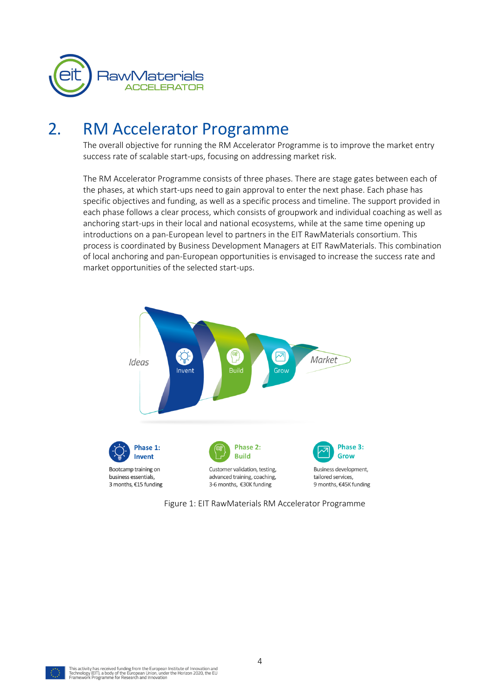

### 2. RM Accelerator Programme

The overall objective for running the RM Accelerator Programme is to improve the market entry success rate of scalable start-ups, focusing on addressing market risk.

The RM Accelerator Programme consists of three phases. There are stage gates between each of the phases, at which start-ups need to gain approval to enter the next phase. Each phase has specific objectives and funding, as well as a specific process and timeline. The support provided in each phase follows a clear process, which consists of groupwork and individual coaching as well as anchoring start-ups in their local and national ecosystems, while at the same time opening up introductions on a pan-European level to partners in the EIT RawMaterials consortium. This process is coordinated by Business Development Managers at EIT RawMaterials. This combination of local anchoring and pan-European opportunities is envisaged to increase the success rate and market opportunities of the selected start-ups.



Figure 1: EIT RawMaterials RM Accelerator Programme

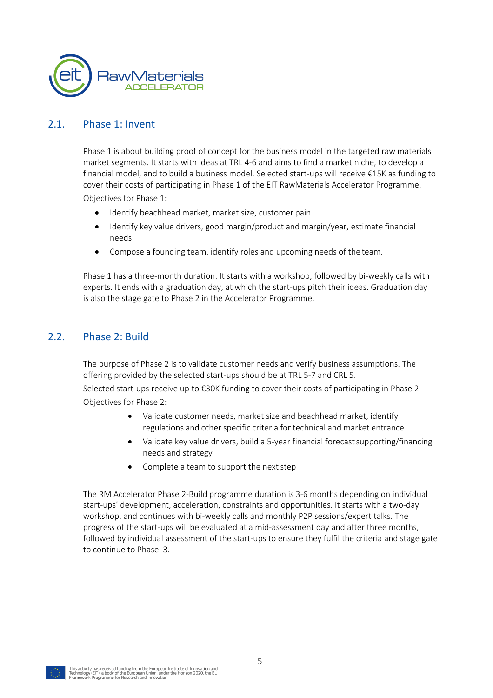

#### 2.1. Phase 1: Invent

Phase 1 is about building proof of concept for the business model in the targeted raw materials market segments. It starts with ideas at TRL 4-6 and aims to find a market niche, to develop a financial model, and to build a business model. Selected start-ups will receive €15K as funding to cover their costs of participating in Phase 1 of the EIT RawMaterials Accelerator Programme. Objectives for Phase 1:

Identify beachhead market, market size, customer pain

- Identify key value drivers, good margin/product and margin/year, estimate financial needs
- Compose a founding team, identify roles and upcoming needs of the team.

Phase 1 has a three-month duration. It starts with a workshop, followed by bi-weekly calls with experts. It ends with a graduation day, at which the start-ups pitch their ideas. Graduation day is also the stage gate to Phase 2 in the Accelerator Programme.

#### 2.2. Phase 2: Build

The purpose of Phase 2 is to validate customer needs and verify business assumptions. The offering provided by the selected start-ups should be at TRL 5-7 and CRL 5.

Selected start-ups receive up to €30K funding to cover their costs of participating in Phase 2. Objectives for Phase 2:

- Validate customer needs, market size and beachhead market, identify regulations and other specific criteria for technical and market entrance
- Validate key value drivers, build a 5-year financial forecast supporting/financing needs and strategy
- Complete a team to support the next step

The RM Accelerator Phase 2-Build programme duration is 3-6 months depending on individual start-ups' development, acceleration, constraints and opportunities. It starts with a two-day workshop, and continues with bi-weekly calls and monthly P2P sessions/expert talks. The progress of the start-ups will be evaluated at a mid-assessment day and after three months, followed by individual assessment of the start-ups to ensure they fulfil the criteria and stage gate to continue to Phase 3.

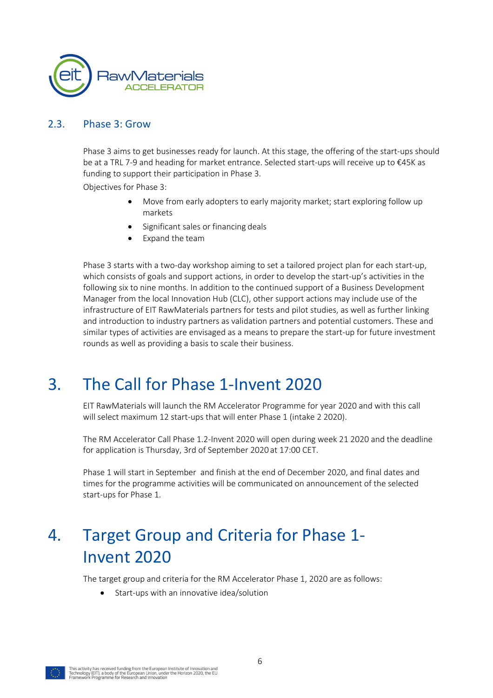

#### 2.3. Phase 3: Grow

Phase 3 aims to get businesses ready for launch. At this stage, the offering of the start-ups should be at a TRL 7-9 and heading for market entrance. Selected start-ups will receive up to €45K as funding to support their participation in Phase 3.

Objectives for Phase 3:

- Move from early adopters to early majority market; start exploring follow up markets
- Significant sales or financing deals
- Expand the team

Phase 3 starts with a two-day workshop aiming to set a tailored project plan for each start-up, which consists of goals and support actions, in order to develop the start-up's activities in the following six to nine months. In addition to the continued support of a Business Development Manager from the local Innovation Hub (CLC), other support actions may include use of the infrastructure of EIT RawMaterials partners for tests and pilot studies, as well as further linking and introduction to industry partners as validation partners and potential customers. These and similar types of activities are envisaged as a means to prepare the start-up for future investment rounds as well as providing a basis to scale their business.

### 3. The Call for Phase 1-Invent 2020

EIT RawMaterials will launch the RM Accelerator Programme for year 2020 and with this call will select maximum 12 start-ups that will enter Phase 1 (intake 2 2020).

The RM Accelerator Call Phase 1.2-Invent 2020 will open during week 21 2020 and the deadline for application is Thursday, 3rd of September 2020 at 17:00 CET.

Phase 1 will start in September and finish at the end of December 2020, and final dates and times for the programme activities will be communicated on announcement of the selected start-ups for Phase 1.

## 4. Target Group and Criteria for Phase 1- Invent 2020

The target group and criteria for the RM Accelerator Phase 1, 2020 are as follows:

• Start-ups with an innovative idea/solution

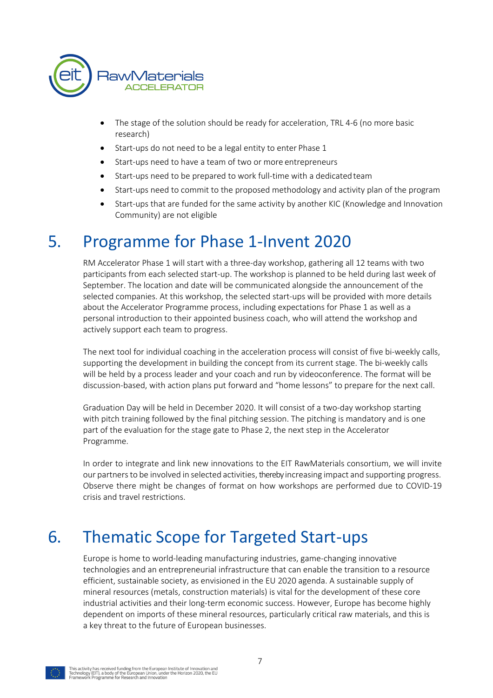

- The stage of the solution should be ready for acceleration, TRL 4-6 (no more basic research)
- Start-ups do not need to be a legal entity to enter Phase 1
- Start-ups need to have a team of two or more entrepreneurs
- Start-ups need to be prepared to work full-time with a dedicatedteam
- Start-ups need to commit to the proposed methodology and activity plan of the program
- Start-ups that are funded for the same activity by another KIC (Knowledge and Innovation Community) are not eligible

### 5. Programme for Phase 1-Invent 2020

RM Accelerator Phase 1 will start with a three-day workshop, gathering all 12 teams with two participants from each selected start-up. The workshop is planned to be held during last week of September. The location and date will be communicated alongside the announcement of the selected companies. At this workshop, the selected start-ups will be provided with more details about the Accelerator Programme process, including expectations for Phase 1 as well as a personal introduction to their appointed business coach, who will attend the workshop and actively support each team to progress.

The next tool for individual coaching in the acceleration process will consist of five bi-weekly calls, supporting the development in building the concept from its current stage. The bi-weekly calls will be held by a process leader and your coach and run by videoconference. The format will be discussion-based, with action plans put forward and "home lessons" to prepare for the next call.

Graduation Day will be held in December 2020. It will consist of a two-day workshop starting with pitch training followed by the final pitching session. The pitching is mandatory and is one part of the evaluation for the stage gate to Phase 2, the next step in the Accelerator Programme.

In order to integrate and link new innovations to the EIT RawMaterials consortium, we will invite our partners to be involved in selected activities, thereby increasing impact and supporting progress. Observe there might be changes of format on how workshops are performed due to COVID-19 crisis and travel restrictions.

## 6. Thematic Scope for Targeted Start-ups

Europe is home to world-leading manufacturing industries, game-changing innovative technologies and an entrepreneurial infrastructure that can enable the transition to a resource efficient, sustainable society, as envisioned in the EU 2020 agenda. A sustainable supply of mineral resources (metals, construction materials) is vital for the development of these core industrial activities and their long-term economic success. However, Europe has become highly dependent on imports of these mineral resources, particularly critical raw materials, and this is a key threat to the future of European businesses.

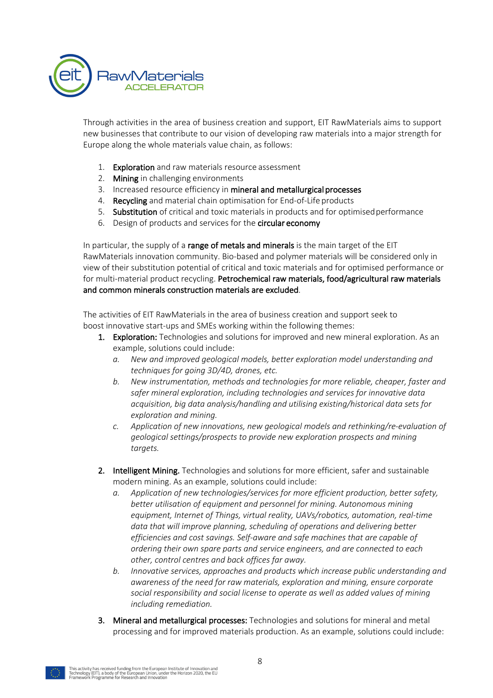

Through activities in the area of business creation and support, EIT RawMaterials aims to support new businesses that contribute to our vision of developing raw materials into a major strength for Europe along the whole materials value chain, as follows:

- 1. Exploration and raw materials resource assessment
- 2. Mining in challenging environments
- 3. Increased resource efficiency in mineral and metallurgical processes
- 4. Recycling and material chain optimisation for End-of-Life products
- 5. Substitution of critical and toxic materials in products and for optimisedperformance
- 6. Design of products and services for the circular economy

In particular, the supply of a range of metals and minerals is the main target of the EIT RawMaterials innovation community. Bio-based and polymer materials will be considered only in view of their substitution potential of critical and toxic materials and for optimised performance or for multi-material product recycling. Petrochemical raw materials, food/agricultural raw materials and common minerals construction materials are excluded.

The activities of EIT RawMaterials in the area of business creation and support seek to boost innovative start-ups and SMEs working within the following themes:

- 1. Exploration: Technologies and solutions for improved and new mineral exploration. As an example, solutions could include:
	- *a. New and improved geological models, better exploration model understanding and techniques for going 3D/4D, drones, etc.*
	- *b. New instrumentation, methods and technologies for more reliable, cheaper, faster and safer mineral exploration, including technologies and services for innovative data acquisition, big data analysis/handling and utilising existing/historical data sets for exploration and mining.*
	- *c. Application of new innovations, new geological models and rethinking/re-evaluation of geological settings/prospects to provide new exploration prospects and mining targets.*
- 2. Intelligent Mining. Technologies and solutions for more efficient, safer and sustainable modern mining. As an example, solutions could include:
	- *a. Application of new technologies/services for more efficient production, better safety, better utilisation of equipment and personnel for mining. Autonomous mining equipment, Internet of Things, virtual reality, UAVs/robotics, automation, real-time data that will improve planning, scheduling of operations and delivering better efficiencies and cost savings. Self-aware and safe machines that are capable of ordering their own spare parts and service engineers, and are connected to each other, control centres and back offices far away.*
	- *b. Innovative services, approaches and products which increase public understanding and awareness of the need for raw materials, exploration and mining, ensure corporate social responsibility and social license to operate as well as added values of mining including remediation.*
- 3. Mineral and metallurgical processes: Technologies and solutions for mineral and metal processing and for improved materials production. As an example, solutions could include:

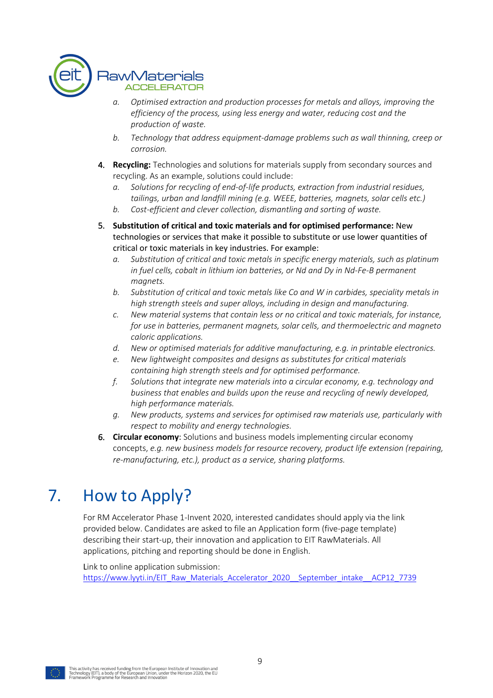

- *a. Optimised extraction and production processes for metals and alloys, improving the efficiency of the process, using less energy and water, reducing cost and the production of waste.*
- *b. Technology that address equipment-damage problems such as wall thinning, creep or corrosion.*
- 4. **Recycling:** Technologies and solutions for materials supply from secondary sources and recycling. As an example, solutions could include:
	- *a. Solutions for recycling of end-of-life products, extraction from industrial residues, tailings, urban and landfill mining (e.g. WEEE, batteries, magnets, solar cells etc.)*
	- *b. Cost-efficient and clever collection, dismantling and sorting of waste.*
- 5. **Substitution of critical and toxic materials and for optimised performance:** New technologies or services that make it possible to substitute or use lower quantities of critical or toxic materials in key industries. For example:
	- *a. Substitution of critical and toxic metals in specific energy materials, such as platinum in fuel cells, cobalt in lithium ion batteries, or Nd and Dy in Nd-Fe-B permanent magnets.*
	- *b. Substitution of critical and toxic metals like Co and W in carbides, speciality metals in high strength steels and super alloys, including in design and manufacturing.*
	- *c. New material systems that contain less or no critical and toxic materials, for instance, for use in batteries, permanent magnets, solar cells, and thermoelectric and magneto caloric applications.*
	- *d. New or optimised materials for additive manufacturing, e.g. in printable electronics.*
	- *e. New lightweight composites and designs as substitutes for critical materials containing high strength steels and for optimised performance.*
	- *f. Solutions that integrate new materials into a circular economy, e.g. technology and business that enables and builds upon the reuse and recycling of newly developed, high performance materials.*
	- *g. New products, systems and services for optimised raw materials use, particularly with respect to mobility and energy technologies.*
- 6. **Circular economy**: Solutions and business models implementing circular economy concepts, *e.g. new business models for resource recovery, product life extension (repairing, re-manufacturing, etc.), product as a service, sharing platforms.*

## 7. How to Apply?

For RM Accelerator Phase 1-Invent 2020, interested candidates should apply via the link provided below. Candidates are asked to file an Application form (five-page template) describing their start-up, their innovation and application to EIT RawMaterials. All applications, pitching and reporting should be done in English.

Link to online application submission: https://www.lyyti.in/EIT\_Raw\_Materials\_Accelerator\_2020\_\_September\_intake\_\_ACP12\_7739

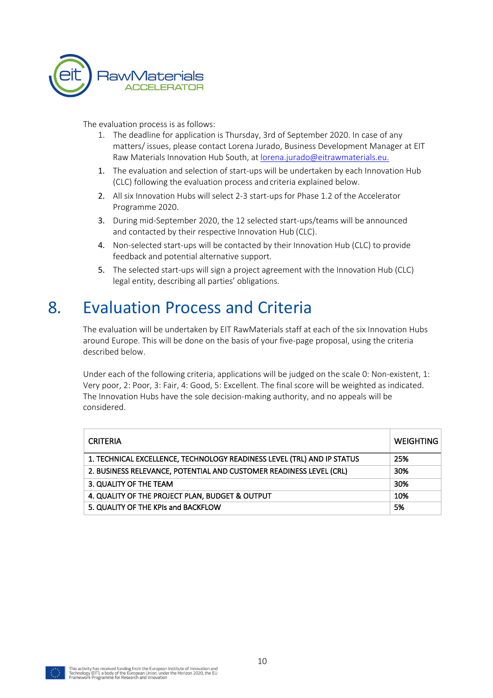

The evaluation process is as follows:

- 1. The deadline for application is Thursday, 3rd of September 2020. In case of any matters/ issues, please contact Lorena Jurado, Business Development Manager at EIT Raw Materials Innovation Hub South, at lorena.jurado@eitrawmaterials.eu.
- 1. The evaluation and selection of start-ups will be undertaken by each Innovation Hub (CLC) following the evaluation process and criteria explained below.
- 2. All six Innovation Hubs will select 2-3 start-ups for Phase 1.2 of the Accelerator Programme 2020.
- 3. During mid-September 2020, the 12 selected start-ups/teams will be announced and contacted by their respective Innovation Hub (CLC).
- 4. Non-selected start-ups will be contacted by their Innovation Hub (CLC) to provide feedback and potential alternative support.
- 5. The selected start-ups will sign a project agreement with the Innovation Hub (CLC) legal entity, describing all parties' obligations.

### 8. Evaluation Process and Criteria

The evaluation will be undertaken by EIT RawMaterials staff at each of the six Innovation Hubs around Europe. This will be done on the basis of your five-page proposal, using the criteria described below.

Under each of the following criteria, applications will be judged on the scale 0: Non-existent, 1: Very poor, 2: Poor, 3: Fair, 4: Good, 5: Excellent. The final score will be weighted as indicated. The Innovation Hubs have the sole decision-making authority, and no appeals will be considered.

| <b>CRITERIA</b>                                                         | WEIGHTING |
|-------------------------------------------------------------------------|-----------|
| 1. TECHNICAL EXCELLENCE, TECHNOLOGY READINESS LEVEL (TRL) AND IP STATUS | 25%       |
| 2. BUSINESS RELEVANCE, POTENTIAL AND CUSTOMER READINESS LEVEL (CRL)     | 30%       |
| 3. QUALITY OF THE TEAM                                                  | 30%       |
| 4. QUALITY OF THE PROJECT PLAN, BUDGET & OUTPUT                         | 10%       |
| 5. QUALITY OF THE KPIs and BACKFLOW                                     | 5%        |

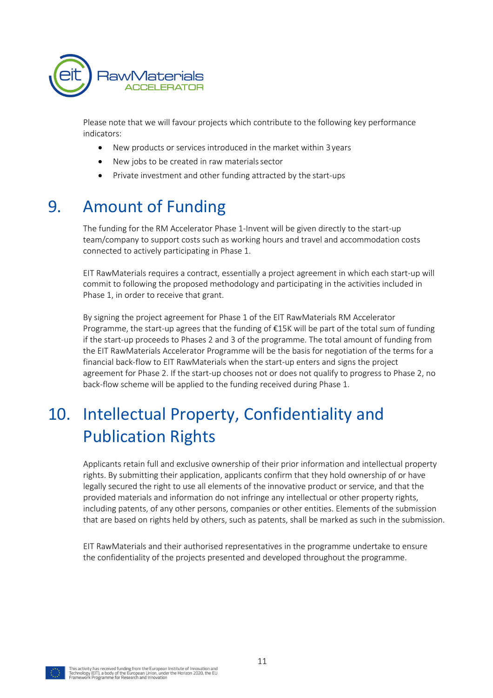

Please note that we will favour projects which contribute to the following key performance indicators:

- New products or services introduced in the market within 3years
- New jobs to be created in raw materials sector
- Private investment and other funding attracted by the start-ups

### 9. Amount of Funding

The funding for the RM Accelerator Phase 1-Invent will be given directly to the start-up team/company to support costs such as working hours and travel and accommodation costs connected to actively participating in Phase 1.

EIT RawMaterials requires a contract, essentially a project agreement in which each start-up will commit to following the proposed methodology and participating in the activities included in Phase 1, in order to receive that grant.

By signing the project agreement for Phase 1 of the EIT RawMaterials RM Accelerator Programme, the start-up agrees that the funding of €15K will be part of the total sum of funding if the start-up proceeds to Phases 2 and 3 of the programme. The total amount of funding from the EIT RawMaterials Accelerator Programme will be the basis for negotiation of the terms for a financial back-flow to EIT RawMaterials when the start-up enters and signs the project agreement for Phase 2. If the start-up chooses not or does not qualify to progress to Phase 2, no back-flow scheme will be applied to the funding received during Phase 1.

# 10. Intellectual Property, Confidentiality and Publication Rights

Applicants retain full and exclusive ownership of their prior information and intellectual property rights. By submitting their application, applicants confirm that they hold ownership of or have legally secured the right to use all elements of the innovative product or service, and that the provided materials and information do not infringe any intellectual or other property rights, including patents, of any other persons, companies or other entities. Elements of the submission that are based on rights held by others, such as patents, shall be marked as such in the submission.

EIT RawMaterials and their authorised representatives in the programme undertake to ensure the confidentiality of the projects presented and developed throughout the programme.

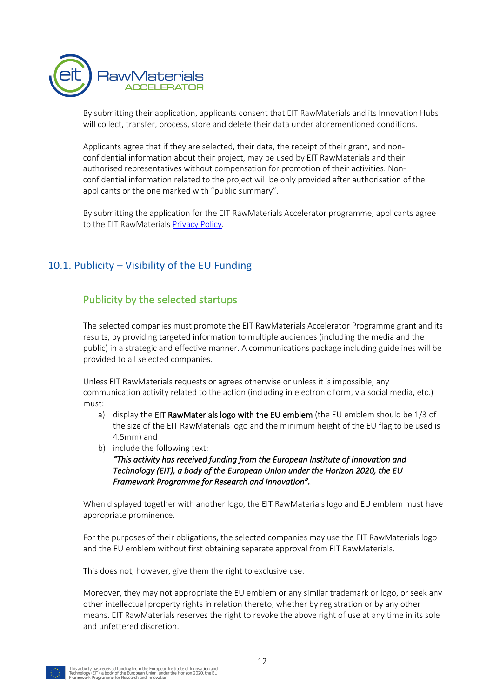

By submitting their application, applicants consent that EIT RawMaterials and its Innovation Hubs will collect, transfer, process, store and delete their data under aforementioned conditions.

Applicants agree that if they are selected, their data, the receipt of their grant, and nonconfidential information about their project, may be used by EIT RawMaterials and their authorised representatives without compensation for promotion of their activities. Nonconfidential information related to the project will be only provided after authorisation of the applicants or the one marked with "public summary".

By submitting the application for the EIT RawMaterials Accelerator programme, applicants agree to the EIT RawMaterials Privacy Policy.

#### 10.1. Publicity – Visibility of the EU Funding

#### Publicity by the selected startups

The selected companies must promote the EIT RawMaterials Accelerator Programme grant and its results, by providing targeted information to multiple audiences (including the media and the public) in a strategic and effective manner. A communications package including guidelines will be provided to all selected companies.

Unless EIT RawMaterials requests or agrees otherwise or unless it is impossible, any communication activity related to the action (including in electronic form, via social media, etc.) must:

- a) display the EIT RawMaterials logo with the EU emblem (the EU emblem should be 1/3 of the size of the EIT RawMaterials logo and the minimum height of the EU flag to be used is 4.5mm) and
- b) include the following text:

*"This activity has received funding from the European Institute of Innovation and Technology (EIT), a body of the European Union under the Horizon 2020, the EU Framework Programme for Research and Innovation".* 

When displayed together with another logo, the EIT RawMaterials logo and EU emblem must have appropriate prominence.

For the purposes of their obligations, the selected companies may use the EIT RawMaterials logo and the EU emblem without first obtaining separate approval from EIT RawMaterials.

This does not, however, give them the right to exclusive use.

Moreover, they may not appropriate the EU emblem or any similar trademark or logo, or seek any other intellectual property rights in relation thereto, whether by registration or by any other means. EIT RawMaterials reserves the right to revoke the above right of use at any time in its sole and unfettered discretion.

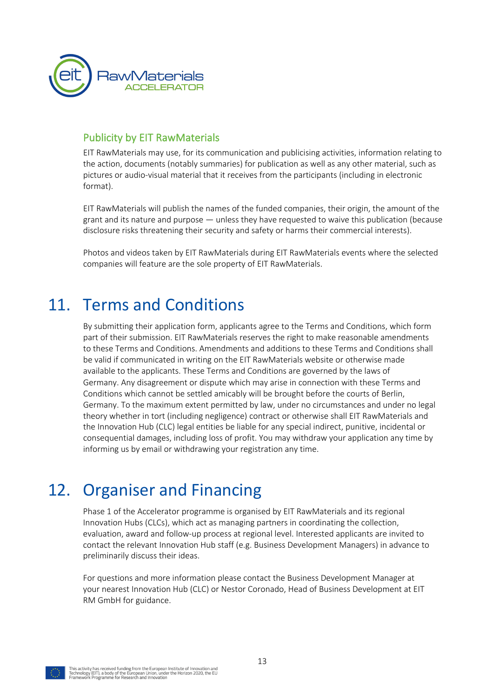

#### Publicity by EIT RawMaterials

EIT RawMaterials may use, for its communication and publicising activities, information relating to the action, documents (notably summaries) for publication as well as any other material, such as pictures or audio-visual material that it receives from the participants (including in electronic format).

EIT RawMaterials will publish the names of the funded companies, their origin, the amount of the grant and its nature and purpose — unless they have requested to waive this publication (because disclosure risks threatening their security and safety or harms their commercial interests).

Photos and videos taken by EIT RawMaterials during EIT RawMaterials events where the selected companies will feature are the sole property of EIT RawMaterials.

### 11. Terms and Conditions

By submitting their application form, applicants agree to the Terms and Conditions, which form part of their submission. EIT RawMaterials reserves the right to make reasonable amendments to these Terms and Conditions. Amendments and additions to these Terms and Conditions shall be valid if communicated in writing on the EIT RawMaterials website or otherwise made available to the applicants. These Terms and Conditions are governed by the laws of Germany. Any disagreement or dispute which may arise in connection with these Terms and Conditions which cannot be settled amicably will be brought before the courts of Berlin, Germany. To the maximum extent permitted by law, under no circumstances and under no legal theory whether in tort (including negligence) contract or otherwise shall EIT RawMaterials and the Innovation Hub (CLC) legal entities be liable for any special indirect, punitive, incidental or consequential damages, including loss of profit. You may withdraw your application any time by informing us by email or withdrawing your registration any time.

### 12. Organiser and Financing

Phase 1 of the Accelerator programme is organised by EIT RawMaterials and its regional Innovation Hubs (CLCs), which act as managing partners in coordinating the collection, evaluation, award and follow-up process at regional level. Interested applicants are invited to contact the relevant Innovation Hub staff (e.g. Business Development Managers) in advance to preliminarily discuss their ideas.

For questions and more information please contact the Business Development Manager at your nearest Innovation Hub (CLC) or Nestor Coronado, Head of Business Development at EIT RM GmbH for guidance.

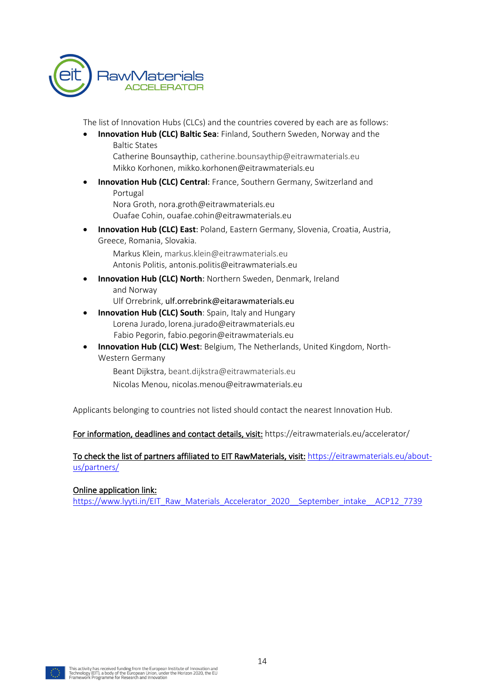

The list of Innovation Hubs (CLCs) and the countries covered by each are as follows:

• **Innovation Hub (CLC) Baltic Sea**: Finland, Southern Sweden, Norway and the Baltic States

Catherine Bounsaythip, catherine.bounsaythip@eitrawmaterials.eu Mikko Korhonen, mikko.korhonen@eitrawmaterials.eu

• **Innovation Hub (CLC) Central**: France, Southern Germany, Switzerland and Portugal

Nora Groth, nora.groth@eitrawmaterials.eu Ouafae Cohin, ouafae.cohin@eitrawmaterials.eu

• **Innovation Hub (CLC) East**: Poland, Eastern Germany, Slovenia, Croatia, Austria, Greece, Romania, Slovakia.

Markus Klein, markus.klein@eitrawmaterials.eu Antonis Politis, antonis.politis@eitrawmaterials.eu

**Innovation Hub (CLC) North: Northern Sweden, Denmark, Ireland** and Norway

Ulf Orrebrink, ulf.orrebrink@eitarawmaterials.eu

- **Innovation Hub (CLC) South**: Spain, Italy and Hungary Lorena Jurado, lorena.jurado@eitrawmaterials.eu Fabio Pegorin, fabio.pegorin@eitrawmaterials.eu
- **Innovation Hub (CLC) West**: Belgium, The Netherlands, United Kingdom, North-Western Germany

Beant Dijkstra, beant.dijkstra@eitrawmaterials.eu Nicolas Menou, nicolas.menou@eitrawmaterials.eu

Applicants belonging to countries not listed should contact the nearest Innovation Hub.

For information, deadlines and contact details, visit: https://eitrawmaterials.eu/accelerator/

To check the list of partners affiliated to EIT RawMaterials, visit: https://eitrawmaterials.eu/aboutus/partners/

#### Online application link:

https://www.lyyti.in/EIT\_Raw\_Materials\_Accelerator\_2020\_\_September\_intake\_\_ACP12\_7739